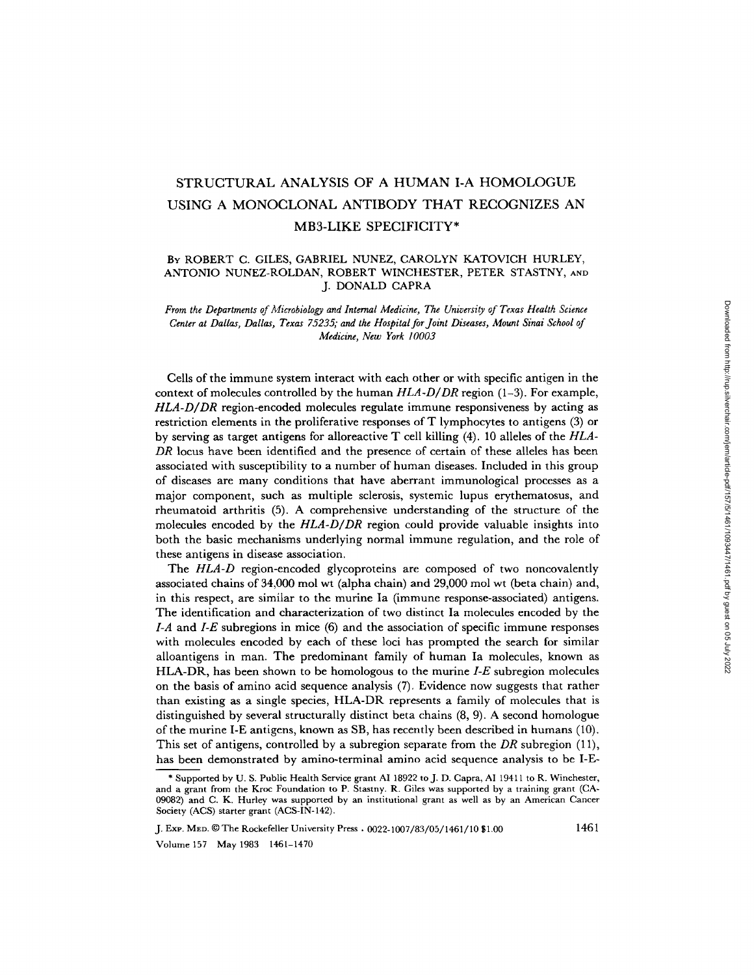# STRUCTURAL ANALYSIS OF A HUMAN I-A HOMOLOGUE USING A MONOCLONAL ANTIBODY THAT RECOGNIZES AN MB3-LIKE SPECIFICITY\*

## BY ROBERT C. GILES, GABRIEL NUNEZ, CAROLYN KATOVICH HURLEY, ANTONIO NUNEZ-ROLDAN, ROBERT WINCHESTER, PETER STASTNY, AND J. DONALD CAPRA

*From the Departments of Microbiology and Internal Medicine, The University of Texas Health Science Center at Dallas, Dallas, Texas 75235; and the Hospital for Joint Diseases, Mount Sinai School of Medicine, New York 10003* 

Cells of the immune system interact with each other or with specific antigen in the context of molecules controlled by the human *HLA-D/DR* region (1-3). For example, *HLA-D/DR* region-encoded molecules regulate immune responsiveness by acting as restriction elements in the proliferative responses of T lymphocytes to antigens (3) or by serving as target antigens for alloreactive T cell killing (4). 10 alleles of the *HLA-DR* locus have been identified and the presence of certain of these alleles has been associated with susceptibility to a number of human diseases. Included in this group of diseases are many conditions that have aberrant immunological processes as a major component, such as multiple sclerosis, systemic lupus erythematosus, and rheumatoid arthritis (5). A comprehensive understanding of the structure of the molecules encoded by the *HLA-D/DR* region could provide valuable insights into both the basic mechanisms underlying normal immune regulation, and the role of these antigens in disease association.

The *HLA-D* region-encoded glycoproteins are composed of two noncovalently associated chains of 34,000 mol wt (alpha chain) and 29,000 mol wt (beta chain) and, in this respect, are similar to the murine Ia (immune response-associated) antigens. The identification and characterization of two distinct Ia molecules encoded by the *I-A* and *I-E* subregions in mice (6) and the association of specific immune responses with molecules encoded by each of these loci has prompted the search for similar alloantigens in man. The predominant family of human Ia molecules, known as HLA-DR, has been shown to be homologous to the murine *I-E* subregion molecules on the basis of amino acid sequence analysis (7). Evidence now suggests that rather than existing as a single species, HLA-DR represents a family of molecules that is distinguished by several structurally distinct beta chains (8, 9). A second homologue of the murine I-E antigens, known as SB, has recently been described in humans (10). This set of antigens, controlled by a subregion separate from the *DR* subregion (11), has been demonstrated by amino-terminal amino acid sequence analysis to be I-E-

J. Exp. MED. © The Rockefeller University Press . 0022-1007/83/05/1461/10 \$1.00 1461

Volume 157 May 1983 1461-1470

<sup>\*</sup> Supported by U. S. Public Health Service grant AI 18922 to J. D. Capra, AI 19411 to R. Winchester, and a grant from the Kroc Foundation to P. Stastny. R. Giles was supported by a training grant (CA-09082) and C. K. Hurley was supported by an institutional grant as well as by an American Cancer Society (ACS) starter grant (ACS-IN-142).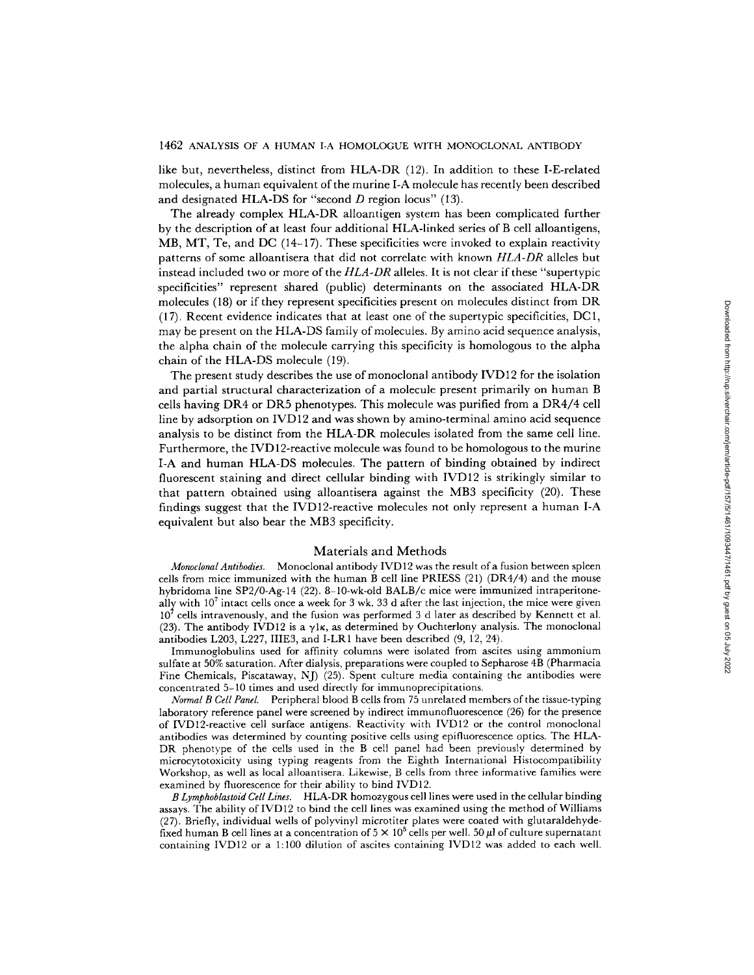like but, nevertheless, distinct from HLA-DR (12). In addition to these I-E-related molecules, a human equivalent of the murine I-A molecule has recently been described and designated HLA-DS for "second  $D$  region locus" (13).

The already complex HLA-DR alloantigen system has been complicated further by the description of at least four additional HLA-linked series of B cell alloantigens, MB, MT, Te, and DC (14-17). These specificities were invoked to explain reactivity patterns of some alloantisera that did not correlate with known *HLA-DR* alleles but instead included two or more of the *HLA-DR* alleles. It is not clear if these "supertypic specificities" represent shared (public) determinants on the associated HLA-DR molecules (18) or if they represent specificities present on molecules distinct from DR (17). Recent evidence indicates that at least one of the supertypic specificities, DC1, may be present on the HLA-DS family of molecules. By amino acid sequence analysis, the alpha chain of the molecule carrying this specificity is homologous to the alpha chain of the HLA-DS molecule (19).

The present study describes the use of monoclonal antibody IVD12 for the isolation and partial structural characterization of a molecule present primarily on human B cells having DR4 or DR5 phenotypes. This molecule was purified from a DR4/4 cell line by adsorption on IVD12 and was shown by amino-terminal amino acid sequence analysis to be distinct from the HLA-DR molecules isolated from the same cell line. Furthermore, the IVD12-reactive molecule was found to be homologous to the murine I-A and human HLA-DS molecules. The pattern of binding obtained by indirect fluorescent staining and direct cellular binding with IVD12 is strikingly similar to that pattern obtained using alloantisera against the MB3 specificity (20). These findings suggest that the IVD12-reactive molecules not only represent a human I-A equivalent but also bear the MB3 specificity.

#### Materials and Methods

*Monoclonal Antibodies.* Monoclonal antibody IVD12 was the result of a fusion between spleen cells from mice immunized with the human B cell line PRIESS  $(21)$  (DR4/4) and the mouse hybridoma line SP2/0-Ag-14 (22). 8-10-wk-old BALB/c mice were immunized intraperitoneally with  $10<sup>7</sup>$  intact cells once a week for 3 wk. 33 d after the last injection, the mice were given  $10<sup>7</sup>$  cells intravenously, and the fusion was performed 3 d later as described by Kennett et al. (23). The antibody IVD12 is a  $\gamma$ l<sub>K</sub>, as determined by Ouchterlony analysis. The monoclonal antibodies L203, L227, IIIE3, and I-LR1 have been described (9, 12, 24).

Immunoglobulins used for affinity columns were isolated from ascites using ammonium sulfate at 50% saturation. After dialysis, preparations were coupled to Sepharose 4B (Pharmacia Fine Chemicals, Piscataway, NJ) (25). Spent culture media containing the antibodies were concentrated 5-10 times and used directly for immunoprecipitations.

*Normal B Cell Panel.* Peripheral blood B cells from 75 unrelated members of the tissue-typing laboratory reference panel were screened by indirect immunofluorescence (26) for the presence of IVD12-reactive cell surface antigens. Reactivity with IVD12 or the control monoclonal antibodies was determined by counting positive cells using epifluorescence optics. The HLA-DR phenotype of the cells used in the B cell panel had been previously determined by microcytotoxicity using typing reagents from the Eighth International Histocompatibility Workshop, as well as local alloantisera. Likewise, B cells from three informative families were examined by fluorescence for their ability to bind IVD12.

*B Lymphoblastoid Cell Lines.* HLA-DR homozygous cell lines were used in the cellular binding assays. The ability of IVD12 to bind the cell lines was examined using the method of Williams (27). Briefly, individual wells of polyvinyl microtiter plates were coated with glutaraldehydefixed human B cell lines at a concentration of  $5 \times 10^5$  cells per well. 50  $\mu$ l of culture supernatant containing IVD12 or a 1:100 dilution of ascites containing IVD12 was added to each well.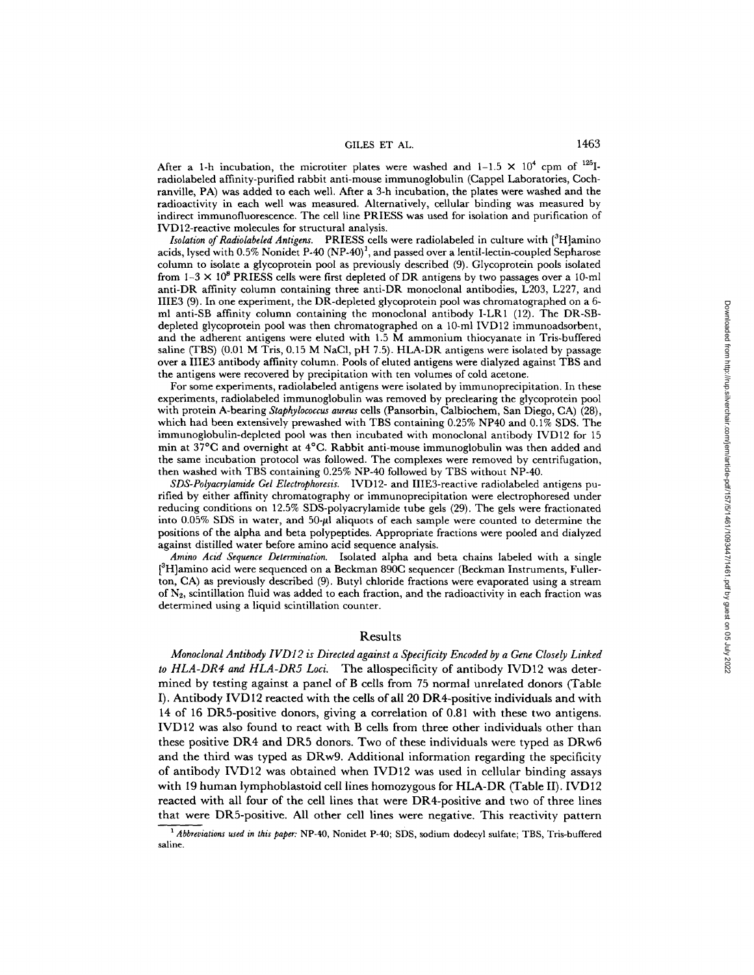GILES ET AL. 1463

After a 1-h incubation, the microtiter plates were washed and  $1-1.5 \times 10^4$  cpm of <sup>125</sup>Iradiolabeled affinity-purified rabbit anti-mouse immunoglobulin (Cappel Laboratories, Cochranville, PA) was added to each well. After a 3-h incubation, the plates were washed and the radioactivity in each well was measured. Alternatively, cellular binding was measured by indirect immunofluorescence. The cell line PRIESS was used for isolation and purification of IVD12-reactive molecules for structural analysis.

*Isolation of Radiolabeled Antigens.* PRIESS cells were radiolabeled in culture with [<sup>3</sup>H]amino acids, lysed with 0.5% Nonidet P-40  $(NP-40)^1$ , and passed over a lentil-lectin-coupled Sepharose column to isolate a glycoprotein pool as previously described (9). Glycoprotein pools isolated from  $1-3 \times 10^8$  PRIESS cells were first depleted of DR antigens by two passages over a 10-ml anti-DR affinity column containing three anti-DR monoclonal antibodies, L203, L227, and IIIE3 (9). In one experiment, the DR-depleted glycoprotein pool was chromatographed on a 6 ml anti-SB affinity column containing the monoclonal antibody I-LR1 (12). The DR-SBdepleted glycoprotein pool was then chromatographed on a 10-ml IVD12 immunoadsorbent, and the adherent antigens were eluted with 1.5 M ammonium thiocyanate in Tris-buffered saline (TBS) (0.01 M Tris, 0.15 M NaC1, pH 7.5). HLA-DR antigens were isolated by passage over a IIIE3 antibody affinity column. Pools of eluted antigens were dialyzed against TBS and the antigens were recovered by precipitation with ten volumes of cold acetone.

For some experiments, radiolabeled antigens were isolated by immunoprecipitation. In these experiments, radiolabeled immunoglobulin was removed by preclearing the glycoprotein pool with protein A-bearing *Staphylococcus aureus* cells (Pansorbin, Calbiochem, San Diego, CA) (28), which had been extensively prewashed with TBS containing 0.25% NP40 and 0.1% SDS. The immunoglobulin-depleted pool was then incubated with monoclonal antibody IVD12 for 15 min at 37°C and overnight at 4°C. Rabbit anti-mouse immunoglobulin was then added and the same incubation protocol was followed. The complexes were removed by centrifugation, then washed with TBS containing 0.25% NP-40 followed by TBS without NP-40.

*SDS-Polyac~ylamide Gel Electrophoresis.* IVD12- and IIIE3-reactive radiolabeled antigens purified by either affinity chromatography or immunoprecipitation were electrophoresed under reducing conditions on 12.5% SDS-polyacrylamide tube gels (29). The gels were fractionated into  $0.05\%$  SDS in water, and  $50-\mu l$  aliquots of each sample were counted to determine the positions of the alpha and beta polypeptides. Appropriate fractions were pooled and dialyzed against distilled water before amino acid sequence analysis.

*Amino Acid Sequence Determination.* Isolated alpha and beta chains labeled with a single  $\int^3 H$ ]amino acid were sequenced on a Beckman 890C sequencer (Beckman Instruments, Fullerton, CA) as previously described (9). Butyl chloride fractions were evaporated using a stream of  $N_2$ , scintillation fluid was added to each fraction, and the radioactivity in each fraction was determined using a liquid scintillation counter.

## Results

*Monoclonal Antibody IVD12 is Directed against a Specificity Encoded by a Gene Closely Linked to HLA-DR4 and HLA-DR5 Loci.* The allospecificity of antibody IVD12 was determined by testing against a panel of B cells from 75 normal unrelated donors (Table I). Antibody IVD 12 reacted with the ceils of all 20 DR4-positive individuals and with 14 of 16 DR5-positive donors, giving a correlation of 0.81 with these two antigens. IVD12 was also found to react with B cells from three other individuals other than these positive DR4 and DR5 donors. Two of these individuals were typed as DRw6 and the third was typed as DRw9. Additional information regarding the specificity of antibody IVD12 was obtained when IVD12 was used in cellular binding assays with 19 human lymphoblastoid cell lines homozygous for HLA-DR (Table II). IVDI2 reacted with all four of the cell lines that were DR4-positive and two of three lines that were DR5-positive. All other cell lines were negative. This reactivity pattern

<sup>&</sup>lt;sup>1</sup> Abbreviations used in this paper: NP-40, Nonidet P-40; SDS, sodium dodecyl sulfate; TBS, Tris-buffered saline.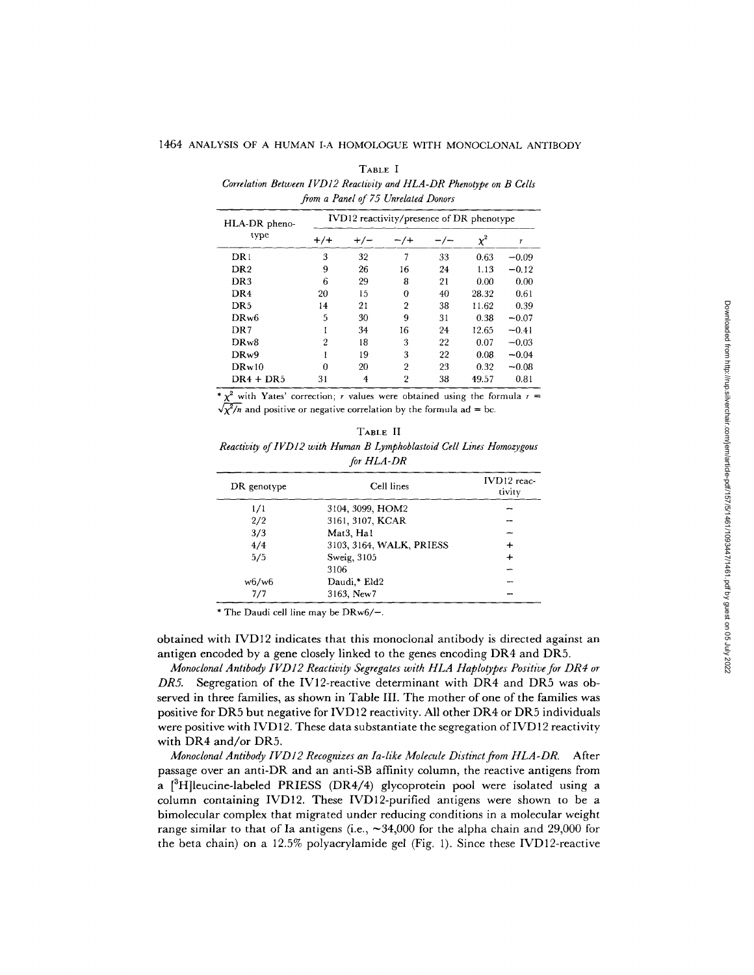| <br>۹ |  |
|-------|--|
|-------|--|

*Correlation Between IVD12 Reactivity and HLA-DR Phenotype on B Cells from a Panel of 75 Unrelated Donors* 

| HLA-DR pheno-     | IVD12 reactivity/presence of DR phenotype |       |                |       |          |         |  |  |  |  |  |  |  |
|-------------------|-------------------------------------------|-------|----------------|-------|----------|---------|--|--|--|--|--|--|--|
| type              | $+/+$                                     | $+/-$ | $-$ /+         | — / — | $\chi^2$ | T       |  |  |  |  |  |  |  |
| DR1               | 3                                         | 32    | 7              | 33    | 0.63     | $-0.09$ |  |  |  |  |  |  |  |
| DR <sub>2</sub>   | 9                                         | 26    | 16             | 24    | 1.13     | $-0.12$ |  |  |  |  |  |  |  |
| DR <sub>3</sub>   | 6                                         | 29    | 8              | 21    | 0.00     | 0.00    |  |  |  |  |  |  |  |
| DR <sub>4</sub>   | 20                                        | 15    | 0              | 40    | 28.32    | 0.61    |  |  |  |  |  |  |  |
| DR <sub>5</sub>   | 14                                        | 21    | $\overline{2}$ | 38    | 11.62    | 0.39    |  |  |  |  |  |  |  |
| DR <sub>w</sub> 6 | 5                                         | 30    | 9              | 31    | 0.38     | $-0.07$ |  |  |  |  |  |  |  |
| DR7               |                                           | 34    | 16             | 24    | 12.65    | $-0.41$ |  |  |  |  |  |  |  |
| DRw8              | 2                                         | 18    | 3              | 22    | 0.07     | $-0.03$ |  |  |  |  |  |  |  |
| DR <sub>w</sub> 9 |                                           | 19    | 3              | 22    | 0.08     | $-0.04$ |  |  |  |  |  |  |  |
| DRw10             | 0                                         | 20    | $\overline{2}$ | 23    | 0.32     | $-0.08$ |  |  |  |  |  |  |  |
| $DR4 + DR5$       | 31                                        | 4     | $\overline{2}$ | 38    | 49.57    | 0.81    |  |  |  |  |  |  |  |

 $x^2$  with Yates' correction; r values were obtained using the formula r =  $\sqrt{\chi^2/n}$  and positive or negative correlation by the formula ad = bc.

| ARL |  |
|-----|--|
|-----|--|

| Reactivity of IVD12 with Human B Lymphoblastoid Cell Lines Homozygous |  |
|-----------------------------------------------------------------------|--|
| for HLA-DR                                                            |  |

| DR genotype | Cell lines                         | IVD12 reac-<br>tivity |
|-------------|------------------------------------|-----------------------|
| 1/1         | 3104, 3099, HOM2                   |                       |
| 2/2         | 3161, 3107, KCAR                   |                       |
| 3/3         | Mat <sub>3</sub> , Ha <sub>1</sub> |                       |
| 4/4         | 3103, 3164, WALK, PRIESS           | ┿                     |
| 5/5         | Sweig, 3105                        | ┿                     |
|             | 3106                               |                       |
| w6/w6       | Daudi,* Eld2                       |                       |
| 7/7         | 3163, New 7                        |                       |

\* The Daudi cell line may be DRw6/-.

obtained with IVD12 indicates that this monoclonal antibody is directed against an antigen encoded by a gene closely linked to the genes encoding DR4 and DR5.

*Monoclonal Antibody IVD12 Reactivity Segregates with HLA Haplotypes Positive for DR4 or DR5.* Segregation of the IV12-reactive determinant with DR4 and DR5 was observed in three families, as shown in Table III. The mother of one of the families was positive for DR5 but negative for IVD12 reactivity. All other DR4 or DR5 individuals were positive with IVD12. These data substantiate the segregation of IVD12 reactivity with DR4 and/or DR5.

*Monoclonal Antibody IVD12 Recognizes an Ia-like Molecule Distinct from HLA-DR.* After passage over an anti-DR and an anti-SB affinity column, the reactive antigens from a  $[{}^3H]$ leucine-labeled PRIESS (DR4/4) glycoprotein pool were isolated using a column containing IVD12. These IVD12-purified antigens were shown to be a bimolecular complex that migrated under reducing conditions in a molecular weight range similar to that of Ia antigens (i.e.,  $\sim 34,000$  for the alpha chain and 29,000 for the beta chain) on a 12.5% polyacrylamide gel (Fig. 1). Since these IVD12-reactive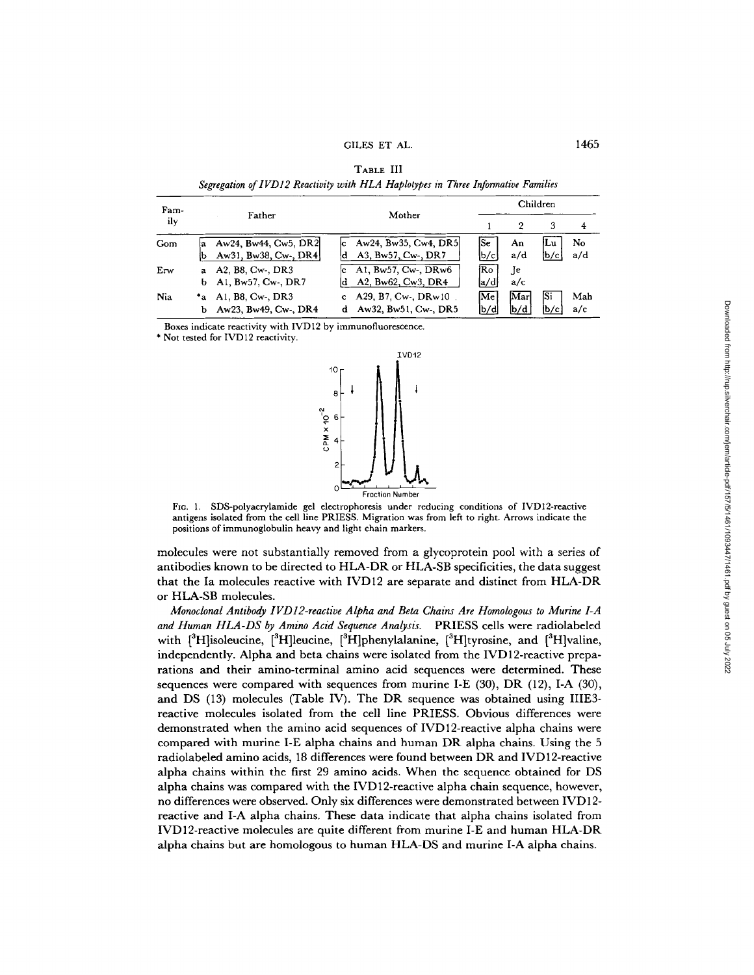| Fam-<br>ily |                   |                                              |                                                              | Children                         |              |             |            |  |  |  |
|-------------|-------------------|----------------------------------------------|--------------------------------------------------------------|----------------------------------|--------------|-------------|------------|--|--|--|
|             |                   | Father                                       | Mother                                                       |                                  | 2            | 3           | 4          |  |  |  |
| Gom         | a                 | Aw24, Bw44, Cw5, DR2<br>Aw31, Bw38, Cw-, DR4 | c Aw24, Bw35, Cw4, DR5<br>A3, Bw57, Cw-, DR7                 | lSe<br>lp/cl                     | An<br>a/d    | lLu<br> b/c | No<br>a/d  |  |  |  |
| Erw         | $\mathbf{a}$<br>b | A2. B8. Cw-, DR3<br>A1, Bw57, Cw-, DR7       | c Al, Bw57, Cw-, $\overline{DRw6}$<br>$d$ A2, Bw62, Cw3, DR4 | Ro<br> a∕d                       | .Je<br>a/c   |             |            |  |  |  |
| Nia         | ь                 | *a Al. B8, Cw-, DR3<br>Aw23, Bw49, Cw-, DR4  | c $A29, B7, Cw, DRw10$ .<br>d Aw32, Bw51, Cw-, DR5           | $ \mathbf{M}\mathbf{e} $<br>lb/d | Marl<br>lb/d | Si<br>lb/с  | Mah<br>a/c |  |  |  |

TABLE III *Segregation of lVD12 Reactivity with HLA Haplotypes in Three Informative Families* 

Boxes indicate reactivity with IVD 12 by immunofluorescence.

\* Not tested for IVD12 reactivity.



FIG. 1. SDS-polyacrylamide gel electrophoresis under reducing conditions of IVD12-reactive antigens isolated from the cell line PRIESS. Migration was from left to right. Arrows indicate the positions of immunoglobulin heavy and light chain markers.

molecules were not substantially removed from a glycoprotein pool with a series of antibodies known to be directed to HLA-DR or HLA-SB specificities, the data suggest that the Ia molecules reactive with IVD12 are separate and distinct from HLA-DR or HLA-SB molecules.

*Monoclonal Antibody IVD12-reactive Alpha and Beta Chains Are Homologous to Murine I-A and Human HLA-DS by Amino Acid Sequence Analysis.* PRIESS cells were radiolabeled with  $[3H]$ isoleucine,  $[3H]$ leucine,  $[3H]$ phenylalanine,  $[3H]$ tyrosine, and  $[3H]$ valine, independently. Alpha and beta chains were isolated from the IVD12-reactive preparations and their amino-terminal amino acid sequences were determined. These sequences were compared with sequences from murine I-E (30), DR (12), I-A (30), and DS (13) molecules (Table IV). The DR sequence was obtained using IIIE3 reactive molecules isolated from the cell line PRIESS. Obvious differences were demonstrated when the amino acid sequences of IVD12-reactive alpha chains were compared with murine I-E alpha chains and human DR alpha chains. Using the 5 radiolabeled amino acids, 18 differences were found between DR and IVD12-reactive alpha chains within the first 29 amino acids. When the sequence obtained for DS alpha chains was compared with the IVD 12-reactive alpha chain sequence, however, no differences were observed. Only six differences were demonstrated between IVD 12 reactive and I-A alpha chains. These data indicate that alpha chains isolated from IVD12-reactive molecules are quite different from rnurine I-E and human HLA-DR alpha chains but are homologous to human HLA-DS and murine I-A alpha chains.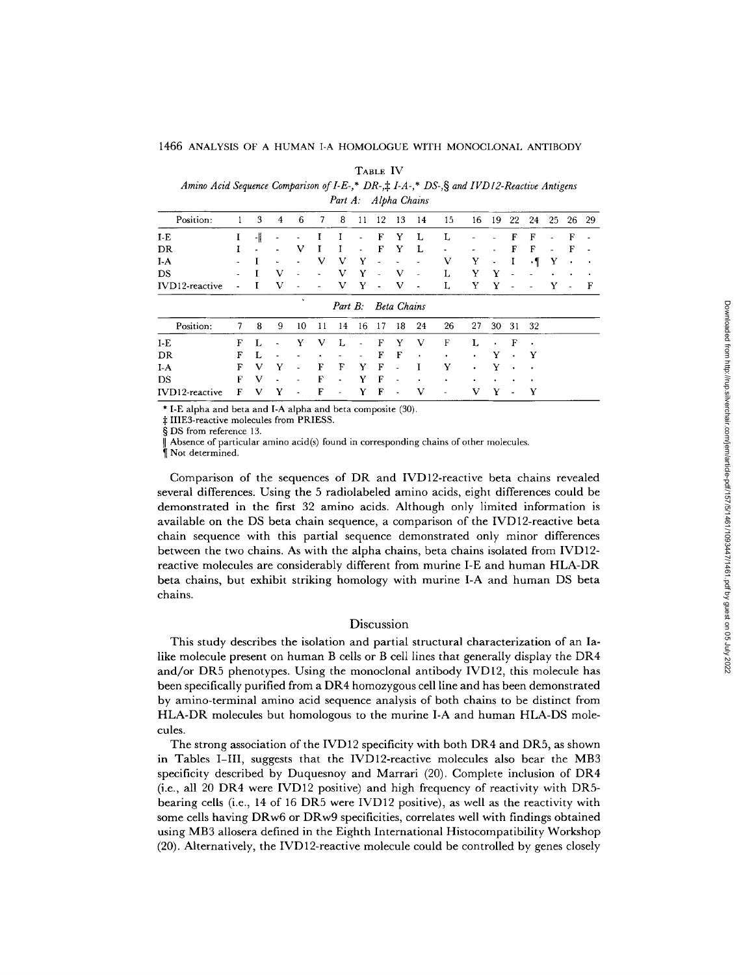**TABLE IV** 

*Amino Acid Sequence Comparison of I-E-,\* DR-,\\validating LS-,\\valid IVD12-Reactive Antigens Part A: Alpha Chains* 

| Position:      |   | 3  | 4 | 6                        |                | 8              |    | 12             | 13                 | 14                       | 15 | 16        | 19 | 22       | 24        | 25 | 26 | 29 |
|----------------|---|----|---|--------------------------|----------------|----------------|----|----------------|--------------------|--------------------------|----|-----------|----|----------|-----------|----|----|----|
| I-E            |   | -1 |   |                          |                |                |    | F              | Y                  | L                        |    |           |    | F        | F         |    | F  |    |
| DR.            |   | ٠  |   | v                        |                | I              | ۰  | F              | Y                  | L                        | ٠  |           |    | F        | F         | ٠  | F  | ٠  |
| $I-A$          |   |    |   |                          | v              | v              | Y  | ä,             | ٠                  |                          | V  | Y         | ۰  | $\bf{r}$ | $\cdot$ ¶ | Y  | ٠  |    |
| DS             |   |    | v | $\overline{\phantom{0}}$ | $\blacksquare$ | v              | Y  | ٠              | v                  | $\overline{\phantom{a}}$ | L  | Y         | Y  |          |           |    |    |    |
| IVD12-reactive |   |    | v |                          |                | v              | Y  | $\blacksquare$ | v                  | ۰                        | L  | Y         | Υ  |          |           | Y  | ۰  | F  |
|                |   |    |   | $\bullet$                |                | Part B:        |    |                | <b>Beta Chains</b> |                          |    |           |    |          |           |    |    |    |
| Position:      | 7 | 8  | 9 | 10                       |                | 14             | 16 | 17             | 18                 | 24                       | 26 | 27        | 30 | 31       | 32        |    |    |    |
| $I-E$          | F |    |   |                          | v              |                |    | F              | Y                  | v                        | F  | L         |    | F        | $\bullet$ |    |    |    |
| DR             | F |    |   |                          |                |                | ٠  | F              | $\mathbf F$        | ٠                        | ٠  | ٠         | Y  |          | Y         |    |    |    |
| $I-A$          | F | V  | Y |                          | F              | F              | Y  | F              | ٠                  |                          | Y  | ٠         | Y  | ۰        | ×         |    |    |    |
| DS             | F | V  |   |                          | F              | $\blacksquare$ | Y  | F              | $\blacksquare$     | ٠                        |    | $\bullet$ |    |          | ٠         |    |    |    |
| IVD12-reactive | F | v  | Y |                          | F              |                | Y  | F              | ٠                  | v                        | ٠  | v         | Y  |          | Y         |    |    |    |

**\*** I-E alpha and beta and I-A alpha and beta composite (30).

IIIE3-reactive molecules from PRIESS.

§ DS from reference 13.

Absence of particular amino acid(s) found in corresponding chains of other molecules.

¶ Not determined.

Comparison of the sequences of DR and IVD12-reactive beta chains revealed several differences. Using the 5 radiolabeled amino acids, eight differences could be demonstrated in the first 32 amino acids. Although only limited information is available on the DS beta chain sequence, a comparison of the IVD12-reactive beta chain sequence with this partial sequence demonstrated only minor differences between the two chains. As with the alpha chains, beta chains isolated from IVD12 reactive molecules are considerably different from murine I-E and human HLA-DR beta chains, but exhibit striking homology with murine I-A and human DS beta chains.

## Discussion

This study describes the isolation and partial structural characterization of an Ialike molecule present on human B cells or B cell lines that generally display the DR4 and/or DR5 phenotypes. Using the monoclonal antibody IVD12, this molecule has been specifically purified from a DR4 homozygous cell line and has been demonstrated by amino-terminal amino acid sequence analysis of both chains to be distinct from HLA-DR molecules but homologous to the murine I-A and human HLA-DS molecules.

The strong association of the IVD12 specificity with both DR4 and DR5, as shown in Tables I-III, suggests that the IVD12-reactive molecules also bear the MB3 specificity described by Duquesnoy and Marrari (20). Complete inclusion of DR4 (i.e., all 20 DR4 were IVD12 positive) and high frequency of reactivity with DR5 bearing cells (i.e., 14 of 16 DR5 were IVD12 positive), as well as the reactivity with some cells having DRw6 or DRw9 specificities, correlates well with findings obtained using MB3 allosera defined in the Eighth International Histocompatibility Workshop (20). Alternatively, the IVD 12-reactive molecule could be controlled by genes closely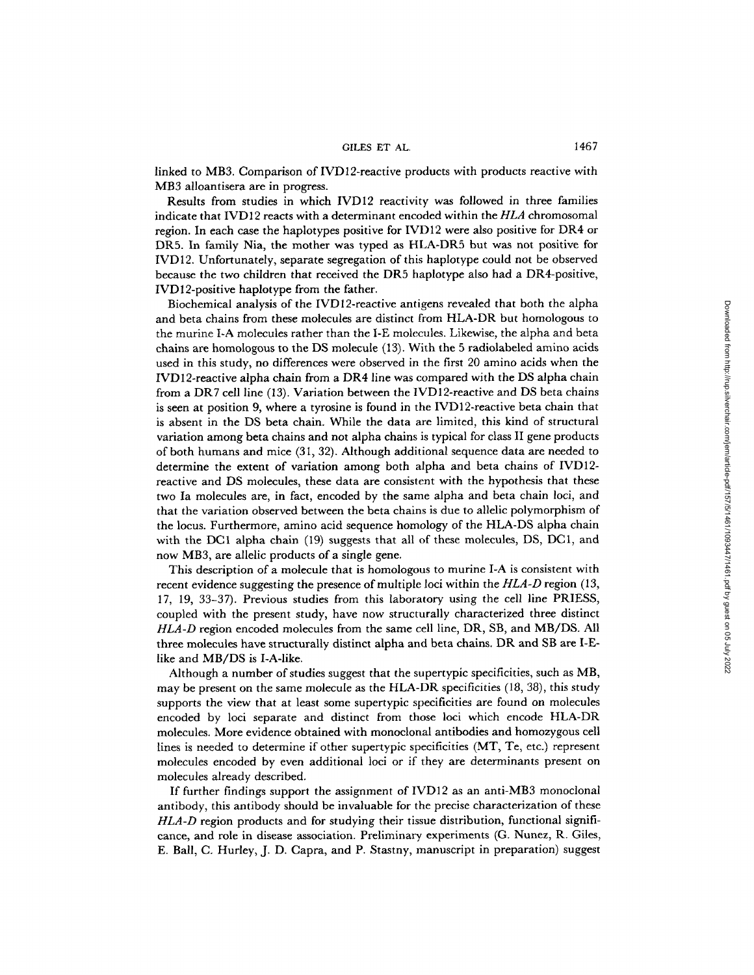#### GILES ET AL. 1467

linked to MB3. Comparison of IVD12-reactive products with products reactive with MB3 alloantisera are in progress.

Results from studies in which IVD12 reactivity was followed in three families indicate that IVD12 reacts with a determinant encoded within the *HLA* chromosomal region. In each case the haplotypes positive for IVD12 were also positive for DR4 or DR5. In family Nia, the mother was typed as HLA-DR5 but was not positive for IVD12. Unfortunately, separate segregation of this haplotype could not be observed because the two children that received the DR5 haplotype also had a DR4-positive, IVD12-positive haplotype from the father.

Biochemical analysis of the IVD 12-reactive antigens revealed that both the alpha and beta chains from these molecules are distinct from HLA-DR but homologous to the murine I-A molecules rather than the I-E molecules. Likewise, the alpha and beta chains are homologous to the DS molecule (13). With the 5 radiolabeled amino acids used in this study, no differences were observed in the first 20 amino acids when the IVD12-reactive alpha chain from a DR4 line was compared with the DS alpha chain from a DR7 cell line (13). Variation between the IVD12-reactive and DS beta chains is seen at position 9, where a tyrosine is found in the IVD12-reactive beta chain that is absent in the DS beta chain. While the data are limited, this kind of structural variation among beta chains and not alpha chains is typical for class II gene products of both humans and mice (31, 32). Although additional sequence data are needed to determine the extent of variation among both alpha and beta chains of IVD12 reactive and DS molecules, these data are consistent with the hypothesis that these two Ia molecules are, in fact, encoded by the same alpha and beta chain loci, and that the variation observed between the beta chains is due to allelic polymorphism of the locus. Furthermore, amino acid sequence homology of the HLA-DS alpha chain with the DC1 alpha chain (19) suggests that all of these molecules, DS, DC1, and now MB3, are allelic products of a single gene.

This description of a molecule that is homologous to murine I-A is consistent with recent evidence suggesting the presence of multiple loci within the *HLA-D* region (13, 17, 19, 33-37). Previous studies from this laboratory using the cell line PRIESS, coupled with the present study, have now structurally characterized three distinct *HLA-D* region encoded molecules from the same cell line, DR, SB, and MB/DS. All three molecules have structurally distinct alpha and beta chains. DR and SB are I-Elike and MB/DS is I-A-like.

Although a number of studies suggest that the supertypic specificities, such as MB, may be present on the same molecule as the HLA-DR specificities (18, 38), this study supports the view that at least some supertypic specificities are found on molecules encoded by loci separate and distinct from those loci which encode HLA-DR molecules. More evidence obtained with monoclonal antibodies and homozygous cell lines is needed to determine if other supertypic specificities (MT, Te, etc.) represent molecules encoded by even additional loci or if they are determinants present on molecules already described.

If further findings support the assignment of IVD12 as an anti-MB3 monoclonal antibody, this antibody should be invaluable for the precise characterization of these *HLA-D* region products and for studying their tissue distribution, functional significance, and role in disease association. Preliminary experiments (G. Nunez, R. Giles, E. Ball, C. Hurley, J. D. Capra, and P. Stastny, manuscript in preparation) suggest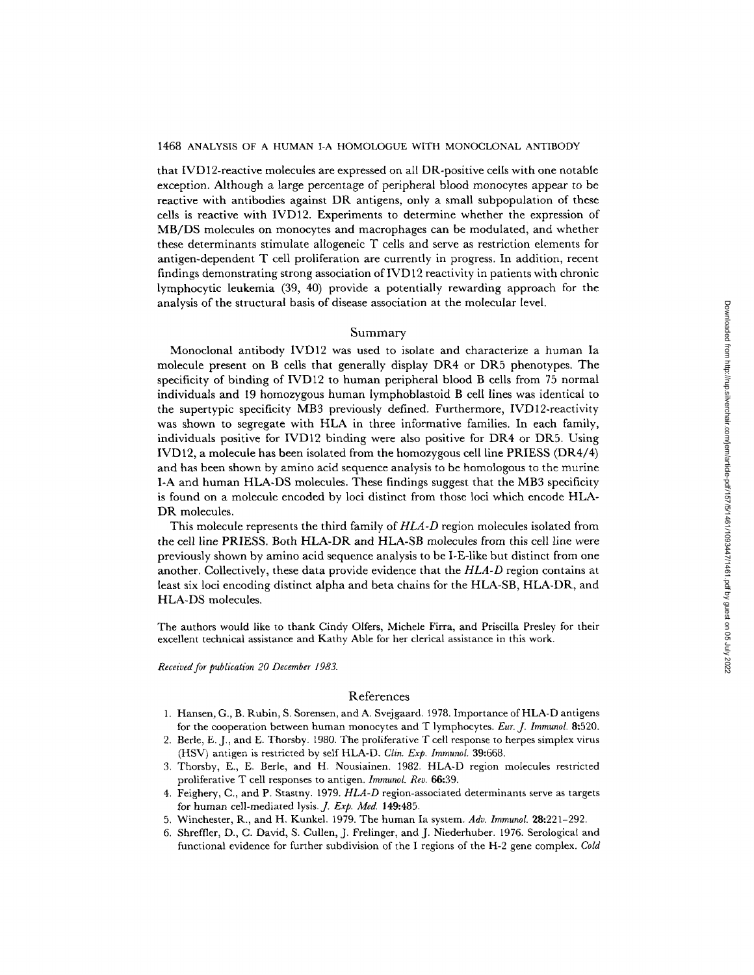that IVD 12-reactive molecules are expressed on all DR-positive cells with one notable exception. Although a large percentage of peripheral blood monocytes appear to be reactive with antibodies against DR antigens, only a small subpopulation of these cells is reactive with IVD12. Experiments to determine whether the expression of MB/DS molecules on monocytes and macrophages can be modulated, and whether these determinants stimulate allogeneic T cells and serve as restriction elements for antigen-dependent T cell proliferation are currently in progress. In addition, recent findings demonstrating strong association of  $\text{IVD12}$  reactivity in patients with chronic lymphocytic leukemia (39, 40) provide a potentially rewarding approach for the analysis of the structural basis of disease association at the molecular level.

## Summary

Monoclonal antibody IVD12 was used to isolate and characterize a human Ia molecule present on B cells that generally display DR4 or DR5 phenotypes. The specificity of binding of IVD12 to human peripheral blood B cells from 75 normal individuals and 19 homozygous human lymphoblastoid B cell lines was identical to the supertypic specificity MB3 previously defined. Furthermore, IVD12-reactivity was shown to segregate with HLA in three informative families. In each family, individuals positive for IVD12 binding were also positive for DR4 or DR5. Using IVD12, a molecule has been isolated from the homozygous cell line PRIESS (DR4/4) and has been shown by amino acid sequence analysis to be homologous to the murine I-A and human HLA-DS molecules. These findings suggest that the MB3 specificity is found on a molecule encoded by loci distinct from those loci which encode HLA-DR molecules.

This molecule represents the third family of *HLA-D* region molecules isolated from the cell line PRIESS. Both HLA-DR and HLA-SB molecules from this cell line were previously shown by amino acid sequence analysis to be I-E-like but distinct from one another. Collectively, these data provide evidence that the *HLA-D* region contains at least six loci encoding distinct alpha and beta chains for the HLA-SB, HLA-DR, and HLA-DS molecules.

The authors would like to thank Cindy Olfers, Michele Firra, and Priscilla Presley for their excellent technical assistance and Kathy Able for her clerical assistance in this work.

*Received for publication 20 December 1983.* 

# References

- 1. Hansen, G., B. Rubin, S. Sorensen, and A. Svejgaard. 1978. Importance of HLA-D antigens for the cooperation between human monocytes and T lymphocytes. *Eur. J. Immunol.* 8:520.
- 2. Berle, E. J., and E. Thorsby. 1980. The proliferative T cell response to herpes simplex virus (HSV) antigen is restricted by self HLA-D. *Clin. Exp. Immunol.* 39:668.
- 3. Thorsby, E., E. Berle, and H. Nousiainen. 1982. HLA-D region molecules restricted proliferative T cell responses to antigen. *Immunol. Rev.* 66:39.
- 4. Feighery, C., and P. Stastny. 1979. *HLA-D* region-associated determinants serve as targets for human cell-mediated lysis.J. *Exp. Med.* 149:485.
- 5. Winchester, R., and H. Kunkel. 1979. The human Ia system. *Adv. Immunol.* 28:221-292.
- 6. Shreffler, D., C. David, S. Cullen, J. Frelinger, and J. Niederhuber. 1976. Serological and functional evidence for further subdivision of the I regions of the H-2 gene complex. *Cold*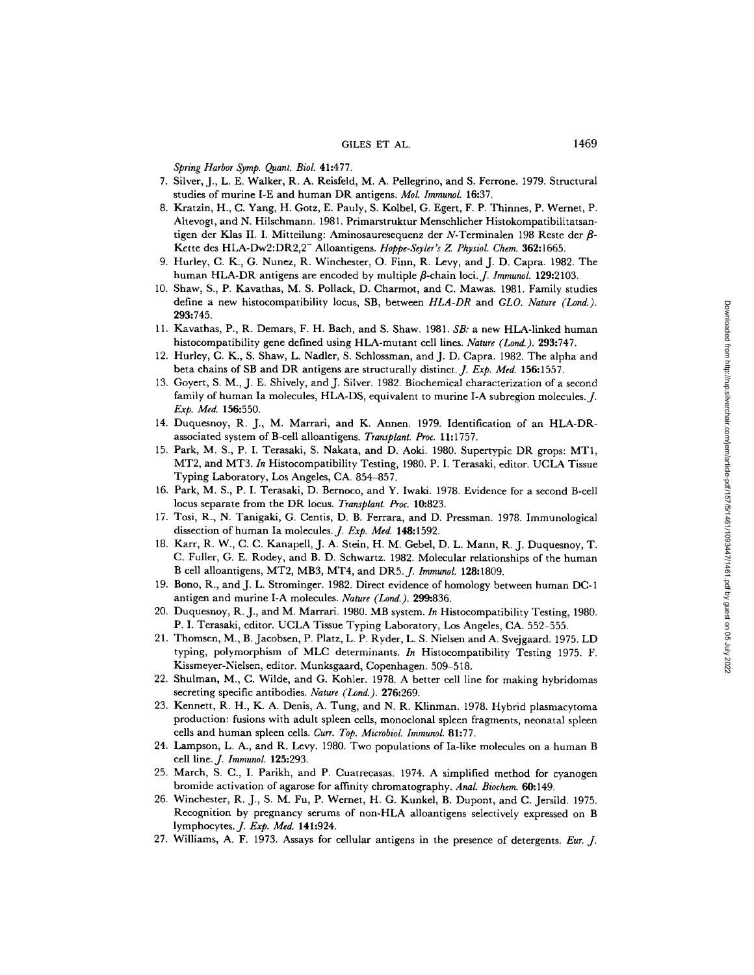## GILES ET AL. 1469

*Spring Harbor Symp. Quant. Biol.* 41:477.

- 7. Silver, J., L. E. Walker, R. A. Reisfeld, M. A. Pellegrino, and S. Ferrone. 1979. Structural studies of murine I-E and human DR antigens. *Mol. Immunol.* 16:37.
- 8. Kratzin, H., C. Yang, H. Gotz, E. Pauly, S. Kolbel, G. Egert, F. P. Thinnes, P. Wernet, P. Ahevogt, and N. Hilschmann. 1981. Primarstruktur Menschlicher Histokompatibilitatsantigen der Klas II. I. Mitteilung: Aminosauresequenz der N-Terminalen 198 Reste der  $\beta$ -Kette des HLA-Dw2:DR2,2- Alloantigens. *Hoppe-Seyler's Z. Physiol. Chem.* 362:1665.
- 9. Hurley, C. K., G. Nunez, R. Winchester, O. Finn, R. Levy, and J. D. Capra. 1982. The human HLA-DR antigens are encoded by multiple  $\beta$ -chain loci. *J. Immunol.* **129:**2103.
- 10. Shaw, S., P. Kavathas, M. S. Pollack, D. Charmot, and C. Mawas. 1981. Family studies define a new histocompatibility locus, SB, between *HLA-DR* and *GLO. Nature (Lond.).*  293:745.
- 11. Kavathas, P., R. Demars, F. H. Bach, and S. Shaw. 1981, *SB:* a new HLA-linked human histocompatibility gene defined using HLA-mutant cell lines. *Nature (Lond.).* 293:747.
- 12. Hurley, C. K., S. Shaw, L. Nadler, S. Schlossman, and J. D. Capra. 1982. The alpha and beta chains of SB and DR antigens are structurally distinct.J. *Exp. Med.* 156:1557.
- 13. Goyert, S. M., J. E. Shively, and J. Silver. 1982. Biochemical characterization of a second family of human Ia molecules, HLA-DS, equivalent to murine I-A subregion molecules. *J. Exp. Med.* 156:550.
- 14. Duquesnoy, R. J., M. Marrari, and K. Annen. 1979. Identification of an HLA-DRassociated system of B-cell alloantigens. *Transplant. Proc.* 11:1757.
- 15. Park, M. S., P. I. Terasaki, S. Nakata, and D. Aoki. 1980. Supertypic DR grops: MT1, MT2, and MT3. *In* Histocompatibility Testing, 1980. P. I. Terasaki, editor. UCLA Tissue Typing Laboratory, Los Angeles, CA. 854-857.
- 16. Park, M. S., P. I. Terasaki, D. Bernoco, and Y. Iwaki. 1978. Evidence for a second B-cell locus separate from the DR locus. *Transplant. Proc.* 10:823.
- 17. Tosi, R., N. Tanigaki, G. Centis, D. B. Ferrara, and D. Pressman. 1978. Immunological dissection of human Ia molecules. *J. Exp. Med.* 148:1592.
- 18. Karr, R. W., C. C. Kanapell, J. A. Stein, H. M. Gebel, D. L. Mann, R. J. Duquesnoy, T. C. Fuller, G. E. Rodey, and B. D. Schwartz. 1982. Molecular relationships of the human B cell alloantigens, MT2, MB3, MT4, and DR5.J. *Immunol.* 128:1809.
- 19. Bono, R., and J. L. Strominger. 1982. Direct evidence of homology between human DC-1 antigen and murine I-A molecules. *Nature (Lond.).* 299:836.
- 20. Duquesnoy, R. J., and M. Marrari. 1980. MB system. *In* Histocompatibility Testing, 1980. P. I. Terasaki, editor. UCLA Tissue Typing Laboratory, Los Angeles, CA. 552-555.
- 21. Thomsen, M., B. Jacobsen, P. Platz, L. P. Ryder, L. S. Nielsen and A. Svejgaard. 1975. LD typing, polymorphism of MLC determinants. *In* Histocompatibility Testing 1975. F. Kissmeyer-Nielsen, editor. Munksgaard, Copenhagen. 509-518.
- 22. Shulman, M., C. Wilde, and G. Kohler. 1978. A better cell line for making hybridomas secreting specific antibodies. *Nature (Lond.).* 276:269.
- 23. Kennett, R. H., K. A. Denis, A. Tung, and N. R. Klinman. 1978. Hybrid plasmacytoma production: fusions with adult spleen cells, monoclonal spleen fragments, neonatal spleen cells and human spleen cells. *Curr. Top. Microbiol. Immunol.* 81:77.
- 24. Lampson, L. A., and R. Levy. 1980. Two populations of Ia-like molecules on a human B cell line. *J. Immunol.* 125:293.
- 25. March, S. C., I. Parikh, and P. Cuatrecasas. 1974. A simplified method for cyanogen bromide activation of agarose for affinity chromatography. *Anal Biochem.* 60:149.
- 26. Winchester, R. J., S. M. Fu, P. Wernet, H. G. Kunkel, B. Dupont, and C. Jersild. 1975. Recognition by pregnancy serums of non-HLA alloantigens selectively expressed on B lymphocytes.J. *Exp. Med.* 141:924.
- 27. Williams, A. F. 1973. Assays for cellular antigens in the presence of detergents. *Eur. J.*